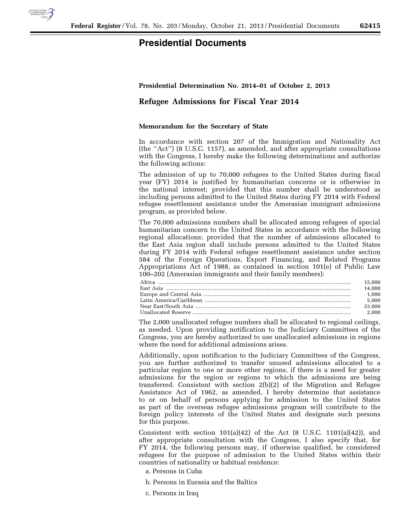

## **Presidential Documents**

## **Presidential Determination No. 2014–01 of October 2, 2013**

## **Refugee Admissions for Fiscal Year 2014**

## **Memorandum for the Secretary of State**

In accordance with section 207 of the Immigration and Nationality Act (the ''Act'') (8 U.S.C. 1157), as amended, and after appropriate consultations with the Congress, I hereby make the following determinations and authorize the following actions:

The admission of up to 70,000 refugees to the United States during fiscal year (FY) 2014 is justified by humanitarian concerns or is otherwise in the national interest; provided that this number shall be understood as including persons admitted to the United States during FY 2014 with Federal refugee resettlement assistance under the Amerasian immigrant admissions program, as provided below.

The 70,000 admissions numbers shall be allocated among refugees of special humanitarian concern to the United States in accordance with the following regional allocations; provided that the number of admissions allocated to the East Asia region shall include persons admitted to the United States during FY 2014 with Federal refugee resettlement assistance under section 584 of the Foreign Operations, Export Financing, and Related Programs Appropriations Act of 1988, as contained in section 101(e) of Public Law 100–202 (Amerasian immigrants and their family members):

| 15.000 |
|--------|
| 14.000 |
| 1.000  |
| 5.000  |
| 33.000 |
| 2.000  |

The 2,000 unallocated refugee numbers shall be allocated to regional ceilings, as needed. Upon providing notification to the Judiciary Committees of the Congress, you are hereby authorized to use unallocated admissions in regions where the need for additional admissions arises.

Additionally, upon notification to the Judiciary Committees of the Congress, you are further authorized to transfer unused admissions allocated to a particular region to one or more other regions, if there is a need for greater admissions for the region or regions to which the admissions are being transferred. Consistent with section 2(b)(2) of the Migration and Refugee Assistance Act of 1962, as amended, I hereby determine that assistance to or on behalf of persons applying for admission to the United States as part of the overseas refugee admissions program will contribute to the foreign policy interests of the United States and designate such persons for this purpose.

Consistent with section  $101(a)(42)$  of the Act  $(8 \text{ U.S.C. } 1101(a)(42))$ , and after appropriate consultation with the Congress, I also specify that, for FY 2014, the following persons may, if otherwise qualified, be considered refugees for the purpose of admission to the United States within their countries of nationality or habitual residence:

- a. Persons in Cuba
- b. Persons in Eurasia and the Baltics
- c. Persons in Iraq